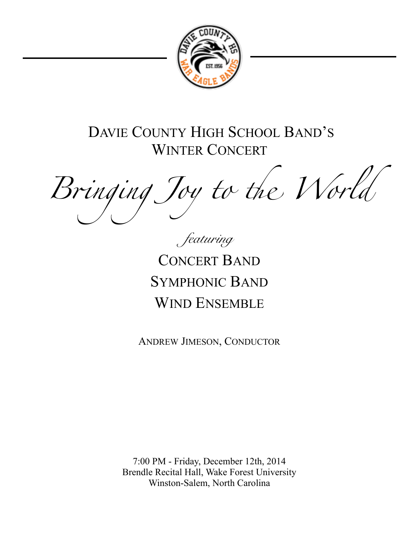

DAVIE COUNTY HIGH SCHOOL BAND'S WINTER CONCERT

Bringing Joy to the World

*featuring* 

CONCERT BAND SYMPHONIC BAND WIND ENSEMBLE

ANDREW JIMESON, CONDUCTOR

7:00 PM - Friday, December 12th, 2014 Brendle Recital Hall, Wake Forest University Winston-Salem, North Carolina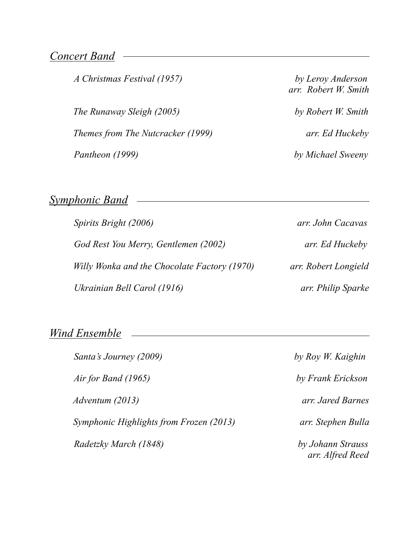### *Concert Band*

 *The Runaway Sleigh (2005) by Robert W. Smith Themes from The Nutcracker (1999) arr. Ed Huckeby Pantheon (1999) by Michael Sweeny* 

*A Christmas Festival (1957) by Leroy Anderson arr. Robert W. Smith*

# *Symphonic Band*

| Spirits Bright (2006)                        | arr. John Cacavas    |
|----------------------------------------------|----------------------|
| God Rest You Merry, Gentlemen (2002)         | arr. Ed Huckeby      |
| Willy Wonka and the Chocolate Factory (1970) | arr. Robert Longield |
| Ukrainian Bell Carol (1916)                  | arr. Philip Sparke   |

<u> 1980 - Johann Barbara, martxa alemaniar a</u>

### *Wind Ensemble*

| Santa's Journey (2009)                  | by Roy W. Kaighin                     |
|-----------------------------------------|---------------------------------------|
| Air for Band $(1965)$                   | by Frank Erickson                     |
| Adventum (2013)                         | arr. Jared Barnes                     |
| Symphonic Highlights from Frozen (2013) | arr. Stephen Bulla                    |
| Radetzky March (1848)                   | by Johann Strauss<br>arr. Alfred Reed |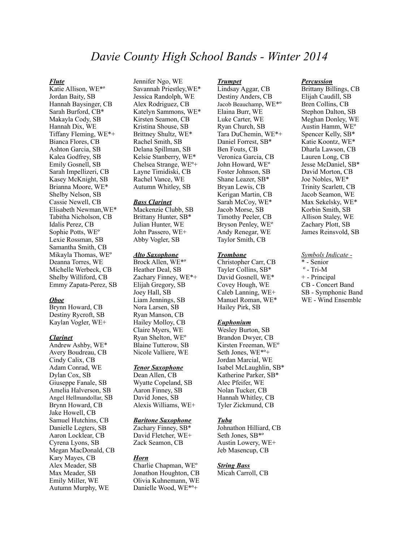## *Davie County High School Bands - Winter 2014*

#### *Flute*

Katie Allison, WE\*º Jordan Baity, SB Hannah Baysinger, CB Sarah Burford, CB\* Makayla Cody, SB Hannah Dix, WE Tiffany Fleming, WE\*+ Bianca Flores, CB Ashton Garcia, SB Kalea Godfrey, SB Emily Gosnell, SB Sarah Impellizeri, CB Kasey McKnight, SB Brianna Moore, WE\* Shelby Nelson, SB Cassie Newell, CB Elisabeth Newman,WE\* Tabitha Nicholson, CB Idalis Perez, CB Sophie Potts, WEº Lexie Rossman, SB Samantha Smith, CB Mikayla Thomas, WEº Deanna Torres, WE Michelle Werbeck, CB Shelby Williford, CB Emmy Zapata-Perez, SB

#### *Oboe*

Brynn Howard, CB Destiny Rycroft, SB Kaylan Vogler, WE+

#### *Clarinet*

Andrew Ashby, WE\* Avery Boudreau, CB Cindy Calix, CB Adam Conrad, WE Dylan Cox, SB Giuseppe Fanale, SB Amelia Halverson, SB Angel Hellmandollar, SB Brynn Howard, CB Jake Howell, CB Samuel Hutchins, CB Danielle Legters, SB Aaron Locklear, CB Cyrena Lyons, SB Megan MacDonald, CB Kary Mayes, CB Alex Meader, SB Max Meader, SB Emily Miller, WE Autumn Murphy, WE

Jennifer Ngo, WE Savannah Priestley,WE\* Jessica Randolph, WE Alex Rodriguez, CB Katelyn Sammons, WE\* Kirsten Seamon, CB Kristina Shouse, SB Brittney Shultz, WE\* Rachel Smith, SB Delana Spillman, SB Kelsie Stanberry, WE\* Chelsea Strange, WEº+ Layne Timidiski, CB Rachel Vance, WE Autumn Whitley, SB

#### *Bass Clarinet*

Mackenzie Clubb, SB Brittany Hunter, SB\* Julian Hunter, WE John Passero, WE+ Abby Vogler, SB

#### *Alto Saxophone*

Brock Allen, WE\*º Heather Deal, SB Zachary Finney, WE\*+ Elijah Gregory, SB Joey Hall, SB Liam Jennings, SB Nora Larsen, SB Ryan Manson, CB Hailey Molloy, CB Claire Myers, WE Ryan Shelton, WEº Blaine Tutterow, SB Nicole Valliere, WE

#### *Tenor Saxophone*

Dean Allen, CB Wyatte Copeland, SB Aaron Finney, SB David Jones, SB Alexis Williams, WE+

#### *Baritone Saxophone*

Zachary Finney, SB\* David Fletcher, WE+ Zack Seamon, CB

#### *Horn*

Charlie Chapman, WEº Jonathon Houghton, CB Olivia Kuhnemann, WE Danielle Wood, WE\*º+

#### *Trumpet*

Lindsay Aggar, CB Destiny Anders, CB Jacob Beauchamp, WE\*º Elaina Burr, WE Luke Carter, WE Ryan Church, SB Tara DuChemin, WE\*+ Daniel Forrest, SB\* Ben Fouts, CB Veronica Garcia, CB John Howard, WEº Foster Johnson, SB Shane Leazer, SB\* Bryan Lewis, CB Kerigan Martin, CB Sarah McCoy, WE\* Jacob Morse, SB Timothy Peeler, CB Bryson Penley, WEº Andy Renegar, WE Taylor Smith, CB

#### *Trombone*

Christopher Carr, CB Tayler Collins, SB\* David Gosnell, WE\* Covey Hough, WE Caleb Lanning, WE+ Manuel Roman, WE\* Hailey Pirk, SB

#### *Euphonium*

Wesley Burton, SB Brandon Dwyer, CB Kirsten Freeman, WEº Seth Jones, WE\*º+ Jordan Marcial, WE Isabel McLaughlin, SB\* Katherine Parker, SB\* Alec Pfeifer, WE Nolan Tucker, CB Hannah Whitley, CB Tyler Zickmund, CB

#### *Tuba*

Johnathon Hilliard, CB Seth Jones, SB\*º Austin Lowery, WE+ Jeb Masencup, CB

#### *String Bass*

Micah Carroll, CB

#### *Percussion*

Brittany Billings, CB Elijah Caudill, SB Bren Collins, CB Stephon Dalton, SB Meghan Donley, WE Austin Hamm, WEº Spencer Kelly, SB\* Katie Koontz, WE\* Dharla Lawson, CB Lauren Long, CB Jesse McDaniel, SB\* David Morton, CB Joe Nobles, WE\* Trinity Scarlett, CB Jacob Seamon, WE Max Sekelsky, WE\* Korbin Smith, SB Allison Staley, WE Zachary Plott, SB James Reinsvold, SB

#### *Symbols Indicate -*

\* - Senior  $^{\circ}$  - Tri-M + - Principal CB - Concert Band SB - Symphonic Band WE - Wind Ensemble